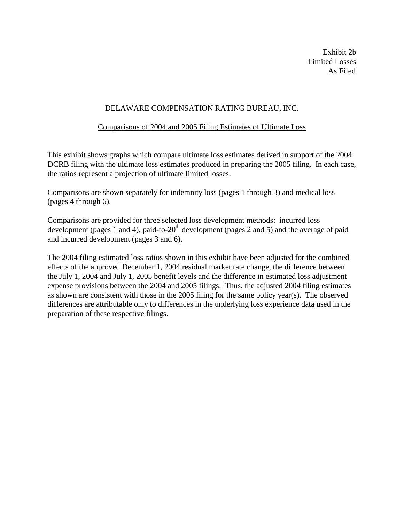Exhibit 2b Limited Losses As Filed

#### DELAWARE COMPENSATION RATING BUREAU, INC.

#### Comparisons of 2004 and 2005 Filing Estimates of Ultimate Loss

This exhibit shows graphs which compare ultimate loss estimates derived in support of the 2004 DCRB filing with the ultimate loss estimates produced in preparing the 2005 filing. In each case, the ratios represent a projection of ultimate limited losses.

Comparisons are shown separately for indemnity loss (pages 1 through 3) and medical loss (pages 4 through 6).

Comparisons are provided for three selected loss development methods: incurred loss development (pages 1 and 4), paid-to-20<sup>th</sup> development (pages 2 and 5) and the average of paid and incurred development (pages 3 and 6).

The 2004 filing estimated loss ratios shown in this exhibit have been adjusted for the combined effects of the approved December 1, 2004 residual market rate change, the difference between the July 1, 2004 and July 1, 2005 benefit levels and the difference in estimated loss adjustment expense provisions between the 2004 and 2005 filings. Thus, the adjusted 2004 filing estimates as shown are consistent with those in the 2005 filing for the same policy year(s). The observed differences are attributable only to differences in the underlying loss experience data used in the preparation of these respective filings.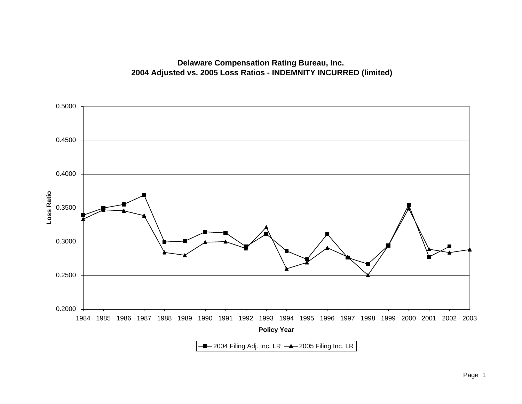### **Delaware Compensation Rating Bureau, Inc. 2004 Adjusted vs. 2005 Loss Ratios - INDEMNITY INCURRED (limited)**

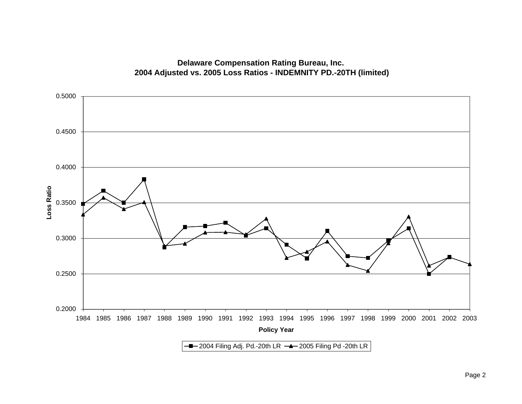

# **Delaware Compensation Rating Bureau, Inc. 2004 Adjusted vs. 2005 Loss Ratios - INDEMNITY PD.-20TH (limited)**

Page 2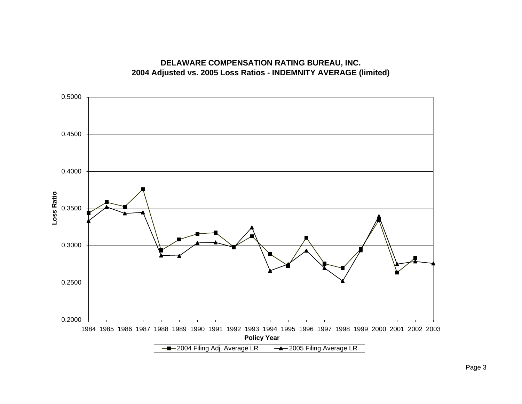

### **DELAWARE COMPENSATION RATING BUREAU, INC. 2004 Adjusted vs. 2005 Loss Ratios - INDEMNITY AVERAGE (limited)**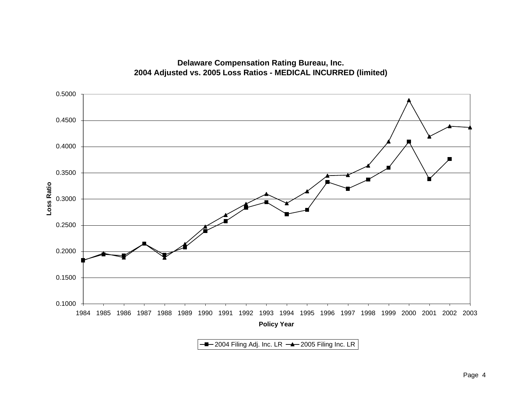

# **Delaware Compensation Rating Bureau, Inc. 2004 Adjusted vs. 2005 Loss Ratios - MEDICAL INCURRED (limited)**

 $\leftarrow$  2004 Filing Adj. Inc. LR  $\leftarrow$  2005 Filing Inc. LR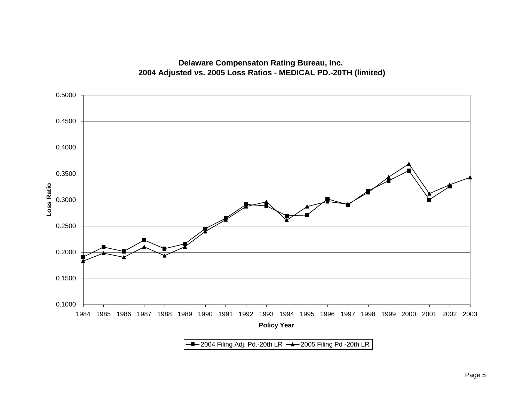

### **Delaware Compensaton Rating Bureau, Inc. 2004 Adjusted vs. 2005 Loss Ratios - MEDICAL PD.-20TH (limited)**

 $-$ 2004 Filing Adj. Pd.-20th LR  $-$  2005 Filing Pd -20th LR